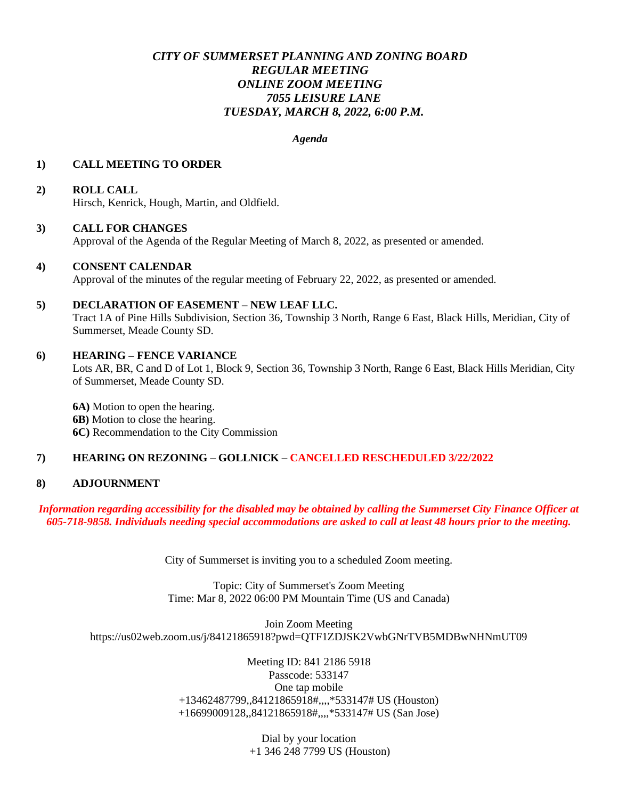## *CITY OF SUMMERSET PLANNING AND ZONING BOARD REGULAR MEETING ONLINE ZOOM MEETING 7055 LEISURE LANE TUESDAY, MARCH 8, 2022, 6:00 P.M.*

*Agenda* 

### **1) CALL MEETING TO ORDER**

# **2) ROLL CALL**

Hirsch, Kenrick, Hough, Martin, and Oldfield.

### **3) CALL FOR CHANGES**

Approval of the Agenda of the Regular Meeting of March 8, 2022, as presented or amended.

#### **4) CONSENT CALENDAR**

Approval of the minutes of the regular meeting of February 22, 2022, as presented or amended.

### **5) DECLARATION OF EASEMENT – NEW LEAF LLC.**

Tract 1A of Pine Hills Subdivision, Section 36, Township 3 North, Range 6 East, Black Hills, Meridian, City of Summerset, Meade County SD.

### **6) HEARING – FENCE VARIANCE**

Lots AR, BR, C and D of Lot 1, Block 9, Section 36, Township 3 North, Range 6 East, Black Hills Meridian, City of Summerset, Meade County SD.

**6A)** Motion to open the hearing. **6B)** Motion to close the hearing. **6C)** Recommendation to the City Commission

### **7) HEARING ON REZONING – GOLLNICK – CANCELLED RESCHEDULED 3/22/2022**

### **8) ADJOURNMENT**

### *Information regarding accessibility for the disabled may be obtained by calling the Summerset City Finance Officer at 605-718-9858. Individuals needing special accommodations are asked to call at least 48 hours prior to the meeting.*

City of Summerset is inviting you to a scheduled Zoom meeting.

Topic: City of Summerset's Zoom Meeting Time: Mar 8, 2022 06:00 PM Mountain Time (US and Canada)

Join Zoom Meeting https://us02web.zoom.us/j/84121865918?pwd=QTF1ZDJSK2VwbGNrTVB5MDBwNHNmUT09

> Meeting ID: 841 2186 5918 Passcode: 533147 One tap mobile +13462487799,,84121865918#,,,,\*533147# US (Houston) +16699009128,,84121865918#,,,,\*533147# US (San Jose)

> > Dial by your location +1 346 248 7799 US (Houston)